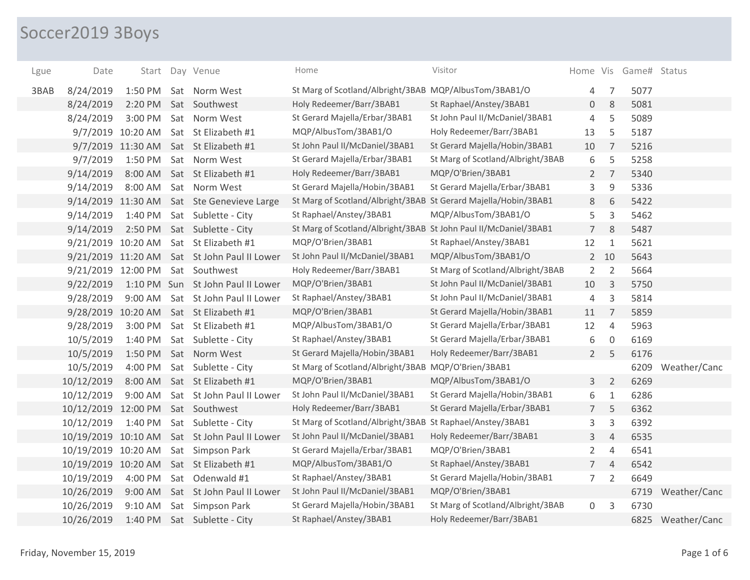## Soccer2019 3Boys

| Lgue | Date                |                   |     | Start Day Venue                              | Home                                                             | Visitor                           |                 |                | Home Vis Game# Status |                   |
|------|---------------------|-------------------|-----|----------------------------------------------|------------------------------------------------------------------|-----------------------------------|-----------------|----------------|-----------------------|-------------------|
| 3BAB | 8/24/2019           | 1:50 PM           |     | Sat Norm West                                | St Marg of Scotland/Albright/3BAB MQP/AlbusTom/3BAB1/O           |                                   | 4               | 7              | 5077                  |                   |
|      | 8/24/2019           | 2:20 PM           |     | Sat Southwest                                | Holy Redeemer/Barr/3BAB1                                         | St Raphael/Anstey/3BAB1           | 0               | 8              | 5081                  |                   |
|      | 8/24/2019           | 3:00 PM           |     | Sat Norm West                                | St Gerard Majella/Erbar/3BAB1                                    | St John Paul II/McDaniel/3BAB1    | 4               | 5              | 5089                  |                   |
|      |                     | 9/7/2019 10:20 AM |     | Sat St Elizabeth #1                          | MQP/AlbusTom/3BAB1/O                                             | Holy Redeemer/Barr/3BAB1          | 13              | 5              | 5187                  |                   |
|      |                     | 9/7/2019 11:30 AM |     | Sat St Elizabeth #1                          | St John Paul II/McDaniel/3BAB1                                   | St Gerard Majella/Hobin/3BAB1     | 10              | $\overline{7}$ | 5216                  |                   |
|      | 9/7/2019            | 1:50 PM           |     | Sat Norm West                                | St Gerard Majella/Erbar/3BAB1                                    | St Marg of Scotland/Albright/3BAB | 6               | 5              | 5258                  |                   |
|      | 9/14/2019           | 8:00 AM           |     | Sat St Elizabeth #1                          | Holy Redeemer/Barr/3BAB1                                         | MQP/O'Brien/3BAB1                 | $\overline{2}$  | $\overline{7}$ | 5340                  |                   |
|      | 9/14/2019           | 8:00 AM           |     | Sat Norm West                                | St Gerard Majella/Hobin/3BAB1                                    | St Gerard Majella/Erbar/3BAB1     | 3               | $9\,$          | 5336                  |                   |
|      | 9/14/2019 11:30 AM  |                   |     | Sat Ste Genevieve Large                      | St Marg of Scotland/Albright/3BAB St Gerard Majella/Hobin/3BAB1  |                                   | 8               | 6              | 5422                  |                   |
|      | 9/14/2019           | 1:40 PM           |     | Sat Sublette - City                          | St Raphael/Anstey/3BAB1                                          | MQP/AlbusTom/3BAB1/O              | 5               | 3              | 5462                  |                   |
|      | 9/14/2019           | 2:50 PM           |     | Sat Sublette - City                          | St Marg of Scotland/Albright/3BAB St John Paul II/McDaniel/3BAB1 |                                   | $\overline{7}$  | 8              | 5487                  |                   |
|      | 9/21/2019 10:20 AM  |                   |     | Sat St Elizabeth #1                          | MQP/O'Brien/3BAB1                                                | St Raphael/Anstey/3BAB1           | 12              | $\mathbf{1}$   | 5621                  |                   |
|      |                     |                   |     | 9/21/2019 11:20 AM Sat St John Paul II Lower | St John Paul II/McDaniel/3BAB1                                   | MQP/AlbusTom/3BAB1/O              |                 | $2 \quad 10$   | 5643                  |                   |
|      | 9/21/2019 12:00 PM  |                   |     | Sat Southwest                                | Holy Redeemer/Barr/3BAB1                                         | St Marg of Scotland/Albright/3BAB | $\overline{2}$  | 2              | 5664                  |                   |
|      | 9/22/2019           |                   |     | 1:10 PM Sun St John Paul II Lower            | MQP/O'Brien/3BAB1                                                | St John Paul II/McDaniel/3BAB1    | 10              | 3              | 5750                  |                   |
|      | 9/28/2019           | 9:00 AM           |     | Sat St John Paul II Lower                    | St Raphael/Anstey/3BAB1                                          | St John Paul II/McDaniel/3BAB1    | 4               | 3              | 5814                  |                   |
|      | 9/28/2019           | 10:20 AM          |     | Sat St Elizabeth #1                          | MQP/O'Brien/3BAB1                                                | St Gerard Majella/Hobin/3BAB1     | 11              | $\overline{7}$ | 5859                  |                   |
|      | 9/28/2019           | 3:00 PM           |     | Sat St Elizabeth #1                          | MQP/AlbusTom/3BAB1/O                                             | St Gerard Majella/Erbar/3BAB1     | 12              | $\overline{4}$ | 5963                  |                   |
|      | 10/5/2019           | 1:40 PM           |     | Sat Sublette - City                          | St Raphael/Anstey/3BAB1                                          | St Gerard Majella/Erbar/3BAB1     | 6               | $\mathbf 0$    | 6169                  |                   |
|      | 10/5/2019           | 1:50 PM           |     | Sat Norm West                                | St Gerard Majella/Hobin/3BAB1                                    | Holy Redeemer/Barr/3BAB1          | $2^{\circ}$     | 5              | 6176                  |                   |
|      | 10/5/2019           | 4:00 PM           |     | Sat Sublette - City                          | St Marg of Scotland/Albright/3BAB MQP/O'Brien/3BAB1              |                                   |                 |                | 6209                  | Weather/Canc      |
|      | 10/12/2019          | 8:00 AM           |     | Sat St Elizabeth #1                          | MQP/O'Brien/3BAB1                                                | MQP/AlbusTom/3BAB1/O              | 3               | $\overline{2}$ | 6269                  |                   |
|      | 10/12/2019          | 9:00 AM           |     | Sat St John Paul II Lower                    | St John Paul II/McDaniel/3BAB1                                   | St Gerard Majella/Hobin/3BAB1     | 6               | $\mathbf{1}$   | 6286                  |                   |
|      | 10/12/2019 12:00 PM |                   |     | Sat Southwest                                | Holy Redeemer/Barr/3BAB1                                         | St Gerard Majella/Erbar/3BAB1     | $7\overline{ }$ | 5              | 6362                  |                   |
|      | 10/12/2019          | 1:40 PM           |     | Sat Sublette - City                          | St Marg of Scotland/Albright/3BAB St Raphael/Anstey/3BAB1        |                                   | 3               | 3              | 6392                  |                   |
|      | 10/19/2019 10:10 AM |                   |     | Sat St John Paul II Lower                    | St John Paul II/McDaniel/3BAB1                                   | Holy Redeemer/Barr/3BAB1          | 3               | $\overline{4}$ | 6535                  |                   |
|      | 10/19/2019 10:20 AM |                   | Sat | Simpson Park                                 | St Gerard Majella/Erbar/3BAB1                                    | MQP/O'Brien/3BAB1                 | $\overline{2}$  | $\overline{4}$ | 6541                  |                   |
|      | 10/19/2019 10:20 AM |                   |     | Sat St Elizabeth #1                          | MQP/AlbusTom/3BAB1/O                                             | St Raphael/Anstey/3BAB1           | 7 <sup>7</sup>  | $\overline{4}$ | 6542                  |                   |
|      | 10/19/2019          | 4:00 PM           |     | Sat Odenwald #1                              | St Raphael/Anstey/3BAB1                                          | St Gerard Majella/Hobin/3BAB1     | 7 <sup>7</sup>  | $\overline{2}$ | 6649                  |                   |
|      | 10/26/2019          | 9:00 AM           |     | Sat St John Paul II Lower                    | St John Paul II/McDaniel/3BAB1                                   | MQP/O'Brien/3BAB1                 |                 |                | 6719                  | Weather/Canc      |
|      | 10/26/2019          | 9:10 AM           |     | Sat Simpson Park                             | St Gerard Majella/Hobin/3BAB1                                    | St Marg of Scotland/Albright/3BAB | 0               | 3              | 6730                  |                   |
|      | 10/26/2019          | 1:40 PM           |     | Sat Sublette - City                          | St Raphael/Anstey/3BAB1                                          | Holy Redeemer/Barr/3BAB1          |                 |                |                       | 6825 Weather/Canc |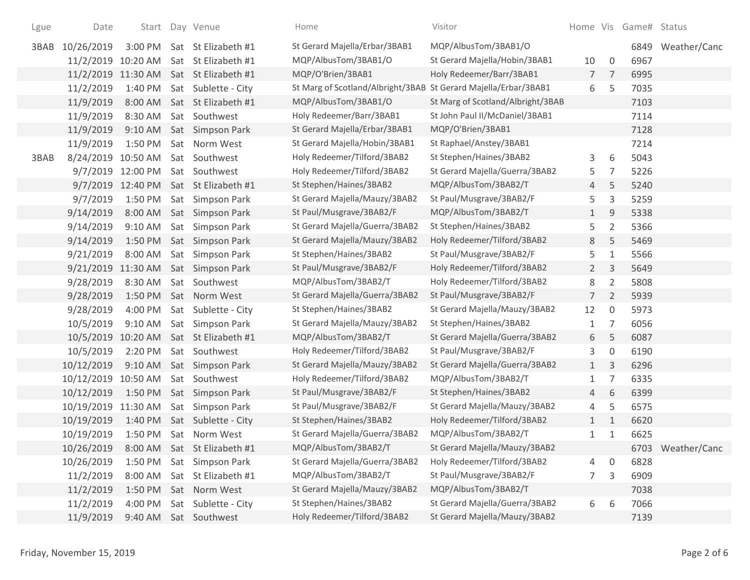| Lgue | Date                             |                   | Start Day Venue                        | Home                                                            | Visitor                           |                |                | Home Vis Game# Status |                   |
|------|----------------------------------|-------------------|----------------------------------------|-----------------------------------------------------------------|-----------------------------------|----------------|----------------|-----------------------|-------------------|
| 3BAB | 10/26/2019                       |                   | 3:00 PM Sat St Elizabeth #1            | St Gerard Majella/Erbar/3BAB1                                   | MQP/AlbusTom/3BAB1/O              |                |                |                       | 6849 Weather/Canc |
|      |                                  |                   | 11/2/2019 10:20 AM Sat St Elizabeth #1 | MQP/AlbusTom/3BAB1/O                                            | St Gerard Majella/Hobin/3BAB1     | 10             | $\mathbf 0$    | 6967                  |                   |
|      |                                  |                   | 11/2/2019 11:30 AM Sat St Elizabeth #1 | MQP/O'Brien/3BAB1                                               | Holy Redeemer/Barr/3BAB1          | $7^{\circ}$    | 7              | 6995                  |                   |
|      | 11/2/2019                        |                   | 1:40 PM Sat Sublette - City            | St Marg of Scotland/Albright/3BAB St Gerard Majella/Erbar/3BAB1 |                                   | 6              | 5              | 7035                  |                   |
|      | 11/9/2019                        |                   | 8:00 AM Sat St Elizabeth #1            | MQP/AlbusTom/3BAB1/O                                            | St Marg of Scotland/Albright/3BAB |                |                | 7103                  |                   |
|      | 11/9/2019                        | 8:30 AM           | Sat Southwest                          | Holy Redeemer/Barr/3BAB1                                        | St John Paul II/McDaniel/3BAB1    |                |                | 7114                  |                   |
|      | 11/9/2019                        | 9:10 AM           | Sat Simpson Park                       | St Gerard Majella/Erbar/3BAB1                                   | MQP/O'Brien/3BAB1                 |                |                | 7128                  |                   |
|      | 11/9/2019                        | 1:50 PM           | Sat Norm West                          | St Gerard Majella/Hobin/3BAB1                                   | St Raphael/Anstey/3BAB1           |                |                | 7214                  |                   |
| 3BAB | 8/24/2019 10:50 AM Sat Southwest |                   |                                        | Holy Redeemer/Tilford/3BAB2                                     | St Stephen/Haines/3BAB2           | 3              | 6              | 5043                  |                   |
|      |                                  | 9/7/2019 12:00 PM | Sat Southwest                          | Holy Redeemer/Tilford/3BAB2                                     | St Gerard Majella/Guerra/3BAB2    | 5              | 7              | 5226                  |                   |
|      |                                  | 9/7/2019 12:40 PM | Sat St Elizabeth #1                    | St Stephen/Haines/3BAB2                                         | MQP/AlbusTom/3BAB2/T              | 4              | 5              | 5240                  |                   |
|      | 9/7/2019                         | 1:50 PM           | Sat Simpson Park                       | St Gerard Majella/Mauzy/3BAB2                                   | St Paul/Musgrave/3BAB2/F          | 5              | 3              | 5259                  |                   |
|      | 9/14/2019                        |                   | 8:00 AM Sat Simpson Park               | St Paul/Musgrave/3BAB2/F                                        | MQP/AlbusTom/3BAB2/T              | $\mathbf{1}$   | 9              | 5338                  |                   |
|      | 9/14/2019                        | $9:10$ AM         | Sat Simpson Park                       | St Gerard Majella/Guerra/3BAB2                                  | St Stephen/Haines/3BAB2           | 5              | $\overline{2}$ | 5366                  |                   |
|      | 9/14/2019                        |                   | 1:50 PM Sat Simpson Park               | St Gerard Majella/Mauzy/3BAB2                                   | Holy Redeemer/Tilford/3BAB2       | 8              | 5              | 5469                  |                   |
|      | 9/21/2019                        | 8:00 AM           | Sat Simpson Park                       | St Stephen/Haines/3BAB2                                         | St Paul/Musgrave/3BAB2/F          | 5              | 1              | 5566                  |                   |
|      |                                  |                   | 9/21/2019 11:30 AM Sat Simpson Park    | St Paul/Musgrave/3BAB2/F                                        | Holy Redeemer/Tilford/3BAB2       | $2^{\circ}$    | $\mathsf{3}$   | 5649                  |                   |
|      | 9/28/2019                        |                   | 8:30 AM Sat Southwest                  | MQP/AlbusTom/3BAB2/T                                            | Holy Redeemer/Tilford/3BAB2       | 8              | $\overline{2}$ | 5808                  |                   |
|      | 9/28/2019                        |                   | 1:50 PM Sat Norm West                  | St Gerard Majella/Guerra/3BAB2                                  | St Paul/Musgrave/3BAB2/F          | $\overline{7}$ | $\overline{2}$ | 5939                  |                   |
|      | 9/28/2019                        | 4:00 PM           | Sat Sublette - City                    | St Stephen/Haines/3BAB2                                         | St Gerard Majella/Mauzy/3BAB2     | 12             | $\mathbf 0$    | 5973                  |                   |
|      | 10/5/2019                        |                   | 9:10 AM Sat Simpson Park               | St Gerard Majella/Mauzy/3BAB2                                   | St Stephen/Haines/3BAB2           | $\mathbf{1}$   | 7              | 6056                  |                   |
|      |                                  |                   | 10/5/2019 10:20 AM Sat St Elizabeth #1 | MQP/AlbusTom/3BAB2/T                                            | St Gerard Majella/Guerra/3BAB2    | 6              | 5              | 6087                  |                   |
|      | 10/5/2019                        | 2:20 PM           | Sat Southwest                          | Holy Redeemer/Tilford/3BAB2                                     | St Paul/Musgrave/3BAB2/F          | 3              | $\mathbf 0$    | 6190                  |                   |
|      | 10/12/2019                       |                   | 9:10 AM Sat Simpson Park               | St Gerard Majella/Mauzy/3BAB2                                   | St Gerard Majella/Guerra/3BAB2    | $\mathbf{1}$   | $\mathsf{3}$   | 6296                  |                   |
|      | 10/12/2019 10:50 AM              |                   | Sat Southwest                          | Holy Redeemer/Tilford/3BAB2                                     | MQP/AlbusTom/3BAB2/T              | 1              | $\overline{7}$ | 6335                  |                   |
|      | 10/12/2019                       | 1:50 PM           | Sat Simpson Park                       | St Paul/Musgrave/3BAB2/F                                        | St Stephen/Haines/3BAB2           | $\overline{4}$ | 6              | 6399                  |                   |
|      |                                  |                   | 10/19/2019 11:30 AM Sat Simpson Park   | St Paul/Musgrave/3BAB2/F                                        | St Gerard Majella/Mauzy/3BAB2     | 4              | 5              | 6575                  |                   |
|      | 10/19/2019                       |                   | 1:40 PM Sat Sublette - City            | St Stephen/Haines/3BAB2                                         | Holy Redeemer/Tilford/3BAB2       | 1              | $\mathbf{1}$   | 6620                  |                   |
|      | 10/19/2019                       |                   | 1:50 PM Sat Norm West                  | St Gerard Majella/Guerra/3BAB2                                  | MQP/AlbusTom/3BAB2/T              | $\mathbf{1}$   | $\mathbf{1}$   | 6625                  |                   |
|      | 10/26/2019                       |                   | 8:00 AM Sat St Elizabeth #1            | MQP/AlbusTom/3BAB2/T                                            | St Gerard Majella/Mauzy/3BAB2     |                |                |                       | 6703 Weather/Canc |
|      | 10/26/2019                       | 1:50 PM           | Sat Simpson Park                       | St Gerard Majella/Guerra/3BAB2                                  | Holy Redeemer/Tilford/3BAB2       | 4              | 0              | 6828                  |                   |
|      | 11/2/2019                        | 8:00 AM           | Sat St Elizabeth #1                    | MQP/AlbusTom/3BAB2/T                                            | St Paul/Musgrave/3BAB2/F          | 7              | 3              | 6909                  |                   |
|      | 11/2/2019                        | 1:50 PM           | Sat Norm West                          | St Gerard Majella/Mauzy/3BAB2                                   | MQP/AlbusTom/3BAB2/T              |                |                | 7038                  |                   |
|      | 11/2/2019                        | 4:00 PM           | Sat Sublette - City                    | St Stephen/Haines/3BAB2                                         | St Gerard Majella/Guerra/3BAB2    | 6              | 6              | 7066                  |                   |
|      | 11/9/2019                        | 9:40 AM           | Sat Southwest                          | Holy Redeemer/Tilford/3BAB2                                     | St Gerard Majella/Mauzy/3BAB2     |                |                | 7139                  |                   |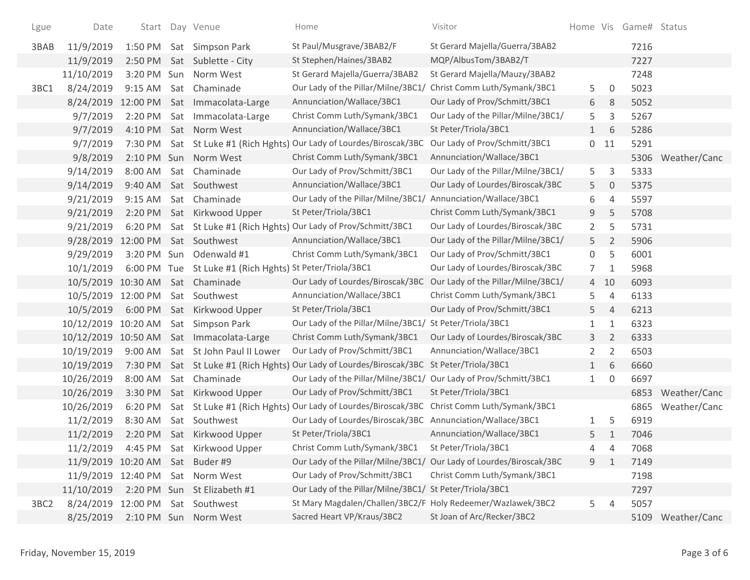| Lgue             | Date                             |           | Start Day Venue                                          | Home                                                                                      | Visitor                            |              |                | Home Vis Game# Status |                   |
|------------------|----------------------------------|-----------|----------------------------------------------------------|-------------------------------------------------------------------------------------------|------------------------------------|--------------|----------------|-----------------------|-------------------|
| 3BAB             | 11/9/2019                        |           | 1:50 PM Sat Simpson Park                                 | St Paul/Musgrave/3BAB2/F                                                                  | St Gerard Majella/Guerra/3BAB2     |              |                | 7216                  |                   |
|                  | 11/9/2019                        |           | 2:50 PM Sat Sublette - City                              | St Stephen/Haines/3BAB2                                                                   | MQP/AlbusTom/3BAB2/T               |              |                | 7227                  |                   |
|                  | 11/10/2019                       |           | 3:20 PM Sun Norm West                                    | St Gerard Majella/Guerra/3BAB2                                                            | St Gerard Majella/Mauzy/3BAB2      |              |                | 7248                  |                   |
| 3BC1             | 8/24/2019                        |           | 9:15 AM Sat Chaminade                                    | Our Lady of the Pillar/Milne/3BC1/                                                        | Christ Comm Luth/Symank/3BC1       | 5            | $\overline{0}$ | 5023                  |                   |
|                  |                                  |           | 8/24/2019 12:00 PM Sat Immacolata-Large                  | Annunciation/Wallace/3BC1                                                                 | Our Lady of Prov/Schmitt/3BC1      | 6            | 8              | 5052                  |                   |
|                  | 9/7/2019                         | 2:20 PM   | Sat Immacolata-Large                                     | Christ Comm Luth/Symank/3BC1                                                              | Our Lady of the Pillar/Milne/3BC1/ | 5            | 3              | 5267                  |                   |
|                  | 9/7/2019                         | 4:10 PM   | Sat Norm West                                            | Annunciation/Wallace/3BC1                                                                 | St Peter/Triola/3BC1               | 1            | 6              | 5286                  |                   |
|                  | 9/7/2019                         | 7:30 PM   |                                                          | Sat St Luke #1 (Rich Hghts) Our Lady of Lourdes/Biroscak/3BC                              | Our Lady of Prov/Schmitt/3BC1      |              | $0$ 11         | 5291                  |                   |
|                  | 9/8/2019                         |           | 2:10 PM Sun Norm West                                    | Christ Comm Luth/Symank/3BC1                                                              | Annunciation/Wallace/3BC1          |              |                | 5306                  | Weather/Canc      |
|                  | 9/14/2019                        |           | 8:00 AM Sat Chaminade                                    | Our Lady of Prov/Schmitt/3BC1                                                             | Our Lady of the Pillar/Milne/3BC1/ | 5            | 3              | 5333                  |                   |
|                  | 9/14/2019                        | 9:40 AM   | Sat Southwest                                            | Annunciation/Wallace/3BC1                                                                 | Our Lady of Lourdes/Biroscak/3BC   | 5            | $\mathbf 0$    | 5375                  |                   |
|                  | 9/21/2019                        | $9:15$ AM | Sat Chaminade                                            | Our Lady of the Pillar/Milne/3BC1/                                                        | Annunciation/Wallace/3BC1          | 6            | 4              | 5597                  |                   |
|                  | 9/21/2019                        |           | 2:20 PM Sat Kirkwood Upper                               | St Peter/Triola/3BC1                                                                      | Christ Comm Luth/Symank/3BC1       | 9            | 5              | 5708                  |                   |
|                  | 9/21/2019                        |           |                                                          | 6:20 PM Sat St Luke #1 (Rich Hghts) Our Lady of Prov/Schmitt/3BC1                         | Our Lady of Lourdes/Biroscak/3BC   | $\mathbf{2}$ | 5              | 5731                  |                   |
|                  | 9/28/2019 12:00 PM Sat Southwest |           |                                                          | Annunciation/Wallace/3BC1                                                                 | Our Lady of the Pillar/Milne/3BC1/ | 5            | $\overline{2}$ | 5906                  |                   |
|                  | 9/29/2019                        |           | 3:20 PM Sun Odenwald #1                                  | Christ Comm Luth/Symank/3BC1                                                              | Our Lady of Prov/Schmitt/3BC1      | 0            | 5              | 6001                  |                   |
|                  | 10/1/2019                        |           | 6:00 PM Tue St Luke #1 (Rich Hghts) St Peter/Triola/3BC1 |                                                                                           | Our Lady of Lourdes/Biroscak/3BC   | 7            | 1              | 5968                  |                   |
|                  |                                  |           | 10/5/2019 10:30 AM Sat Chaminade                         | Our Lady of Lourdes/Biroscak/3BC                                                          | Our Lady of the Pillar/Milne/3BC1/ |              | 4 10           | 6093                  |                   |
|                  | 10/5/2019 12:00 PM Sat Southwest |           |                                                          | Annunciation/Wallace/3BC1                                                                 | Christ Comm Luth/Symank/3BC1       | 5            | 4              | 6133                  |                   |
|                  | 10/5/2019                        |           | 6:00 PM Sat Kirkwood Upper                               | St Peter/Triola/3BC1                                                                      | Our Lady of Prov/Schmitt/3BC1      | 5.           | $\overline{4}$ | 6213                  |                   |
|                  | 10/12/2019 10:20 AM              |           | Sat Simpson Park                                         | Our Lady of the Pillar/Milne/3BC1/ St Peter/Triola/3BC1                                   |                                    | 1            | $\mathbf{1}$   | 6323                  |                   |
|                  |                                  |           | 10/12/2019 10:50 AM Sat Immacolata-Large                 | Christ Comm Luth/Symank/3BC1                                                              | Our Lady of Lourdes/Biroscak/3BC   | 3            | $\overline{2}$ | 6333                  |                   |
|                  | 10/19/2019                       |           | 9:00 AM Sat St John Paul II Lower                        | Our Lady of Prov/Schmitt/3BC1                                                             | Annunciation/Wallace/3BC1          | 2            | 2              | 6503                  |                   |
|                  | 10/19/2019                       |           |                                                          | 7:30 PM Sat St Luke #1 (Rich Hghts) Our Lady of Lourdes/Biroscak/3BC                      | St Peter/Triola/3BC1               | 1            | 6              | 6660                  |                   |
|                  | 10/26/2019                       | 8:00 AM   | Sat Chaminade                                            | Our Lady of the Pillar/Milne/3BC1/ Our Lady of Prov/Schmitt/3BC1                          |                                    | $\mathbf{1}$ | $\overline{0}$ | 6697                  |                   |
|                  | 10/26/2019                       | 3:30 PM   | Sat Kirkwood Upper                                       | Our Lady of Prov/Schmitt/3BC1                                                             | St Peter/Triola/3BC1               |              |                | 6853                  | Weather/Canc      |
|                  | 10/26/2019                       | 6:20 PM   |                                                          | Sat St Luke #1 (Rich Hghts) Our Lady of Lourdes/Biroscak/3BC Christ Comm Luth/Symank/3BC1 |                                    |              |                | 6865                  | Weather/Canc      |
|                  | 11/2/2019                        | 8:30 AM   | Sat Southwest                                            | Our Lady of Lourdes/Biroscak/3BC Annunciation/Wallace/3BC1                                |                                    | 1            | 5              | 6919                  |                   |
|                  | 11/2/2019                        |           | 2:20 PM Sat Kirkwood Upper                               | St Peter/Triola/3BC1                                                                      | Annunciation/Wallace/3BC1          | 5            | $\mathbf{1}$   | 7046                  |                   |
|                  | 11/2/2019                        |           | 4:45 PM Sat Kirkwood Upper                               | Christ Comm Luth/Symank/3BC1 St Peter/Triola/3BC1                                         |                                    | 4            | 4              | 7068                  |                   |
|                  | 11/9/2019 10:20 AM Sat Buder #9  |           |                                                          | Our Lady of the Pillar/Milne/3BC1/ Our Lady of Lourdes/Biroscak/3BC                       |                                    | 9            | 1              | 7149                  |                   |
|                  |                                  |           | 11/9/2019 12:40 PM Sat Norm West                         | Our Lady of Prov/Schmitt/3BC1                                                             | Christ Comm Luth/Symank/3BC1       |              |                | 7198                  |                   |
|                  | 11/10/2019                       |           | 2:20 PM Sun St Elizabeth #1                              | Our Lady of the Pillar/Milne/3BC1/ St Peter/Triola/3BC1                                   |                                    |              |                | 7297                  |                   |
| 3BC <sub>2</sub> | 8/24/2019 12:00 PM Sat Southwest |           |                                                          | St Mary Magdalen/Challen/3BC2/F Holy Redeemer/Wazlawek/3BC2                               |                                    | 5            | $\overline{4}$ | 5057                  |                   |
|                  | 8/25/2019                        |           | 2:10 PM Sun Norm West                                    | Sacred Heart VP/Kraus/3BC2                                                                | St Joan of Arc/Recker/3BC2         |              |                |                       | 5109 Weather/Canc |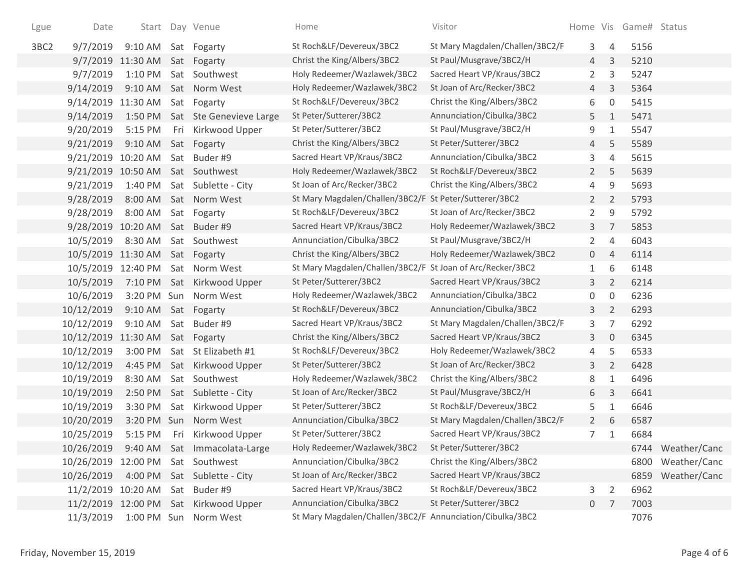| Lgue             | Date                             |                       |     | Start Day Venue                 | Home                                                       | Visitor                         |                |                     | Home Vis Game# Status |              |
|------------------|----------------------------------|-----------------------|-----|---------------------------------|------------------------------------------------------------|---------------------------------|----------------|---------------------|-----------------------|--------------|
| 3BC <sub>2</sub> | 9/7/2019                         | 9:10 AM Sat Fogarty   |     |                                 | St Roch&LF/Devereux/3BC2                                   | St Mary Magdalen/Challen/3BC2/F | 3              | 4                   | 5156                  |              |
|                  |                                  | 9/7/2019 11:30 AM     |     | Sat Fogarty                     | Christ the King/Albers/3BC2                                | St Paul/Musgrave/3BC2/H         | 4              | 3                   | 5210                  |              |
|                  | 9/7/2019                         | $1:10$ PM             |     | Sat Southwest                   | Holy Redeemer/Wazlawek/3BC2                                | Sacred Heart VP/Kraus/3BC2      | $\mathbf{2}$   | 3                   | 5247                  |              |
|                  | 9/14/2019                        |                       |     | 9:10 AM Sat Norm West           | Holy Redeemer/Wazlawek/3BC2                                | St Joan of Arc/Recker/3BC2      | 4              | 3                   | 5364                  |              |
|                  | 9/14/2019 11:30 AM               |                       |     | Sat Fogarty                     | St Roch&LF/Devereux/3BC2                                   | Christ the King/Albers/3BC2     | 6              | $\mathsf{O}\xspace$ | 5415                  |              |
|                  | 9/14/2019                        |                       |     | 1:50 PM Sat Ste Genevieve Large | St Peter/Sutterer/3BC2                                     | Annunciation/Cibulka/3BC2       | 5              | $\mathbf{1}$        | 5471                  |              |
|                  | 9/20/2019                        | 5:15 PM               |     | Fri Kirkwood Upper              | St Peter/Sutterer/3BC2                                     | St Paul/Musgrave/3BC2/H         | 9              | $\mathbf{1}$        | 5547                  |              |
|                  | 9/21/2019                        | $9:10$ AM             |     | Sat Fogarty                     | Christ the King/Albers/3BC2                                | St Peter/Sutterer/3BC2          | 4              | 5                   | 5589                  |              |
|                  | 9/21/2019 10:20 AM Sat Buder #9  |                       |     |                                 | Sacred Heart VP/Kraus/3BC2                                 | Annunciation/Cibulka/3BC2       | 3              | $\overline{4}$      | 5615                  |              |
|                  | 9/21/2019 10:50 AM Sat Southwest |                       |     |                                 | Holy Redeemer/Wazlawek/3BC2                                | St Roch&LF/Devereux/3BC2        | $\overline{2}$ | 5                   | 5639                  |              |
|                  | 9/21/2019                        |                       |     | 1:40 PM Sat Sublette - City     | St Joan of Arc/Recker/3BC2                                 | Christ the King/Albers/3BC2     | 4              | 9                   | 5693                  |              |
|                  | 9/28/2019                        |                       |     | 8:00 AM Sat Norm West           | St Mary Magdalen/Challen/3BC2/F St Peter/Sutterer/3BC2     |                                 | $2^{\circ}$    | $\overline{2}$      | 5793                  |              |
|                  | 9/28/2019                        | 8:00 AM               |     | Sat Fogarty                     | St Roch&LF/Devereux/3BC2                                   | St Joan of Arc/Recker/3BC2      | $\overline{2}$ | 9                   | 5792                  |              |
|                  | 9/28/2019                        | 10:20 AM Sat Buder #9 |     |                                 | Sacred Heart VP/Kraus/3BC2                                 | Holy Redeemer/Wazlawek/3BC2     | 3              | $\overline{7}$      | 5853                  |              |
|                  | 10/5/2019                        | 8:30 AM               |     | Sat Southwest                   | Annunciation/Cibulka/3BC2                                  | St Paul/Musgrave/3BC2/H         | $\overline{2}$ | 4                   | 6043                  |              |
|                  | 10/5/2019 11:30 AM Sat Fogarty   |                       |     |                                 | Christ the King/Albers/3BC2                                | Holy Redeemer/Wazlawek/3BC2     | $\mathbf{0}$   | $\overline{4}$      | 6114                  |              |
|                  | 10/5/2019 12:40 PM               |                       |     | Sat Norm West                   | St Mary Magdalen/Challen/3BC2/F St Joan of Arc/Recker/3BC2 |                                 | $\mathbf{1}$   | 6                   | 6148                  |              |
|                  | 10/5/2019                        |                       |     | 7:10 PM Sat Kirkwood Upper      | St Peter/Sutterer/3BC2                                     | Sacred Heart VP/Kraus/3BC2      | 3              | $\overline{2}$      | 6214                  |              |
|                  | 10/6/2019                        |                       |     | 3:20 PM Sun Norm West           | Holy Redeemer/Wazlawek/3BC2                                | Annunciation/Cibulka/3BC2       | 0              | $\mathsf{O}\xspace$ | 6236                  |              |
|                  | 10/12/2019                       | $9:10$ AM             |     | Sat Fogarty                     | St Roch&LF/Devereux/3BC2                                   | Annunciation/Cibulka/3BC2       | 3              | $\overline{2}$      | 6293                  |              |
|                  | 10/12/2019                       | $9:10$ AM             |     | Sat Buder #9                    | Sacred Heart VP/Kraus/3BC2                                 | St Mary Magdalen/Challen/3BC2/F | 3              | $\overline{7}$      | 6292                  |              |
|                  | 10/12/2019 11:30 AM Sat Fogarty  |                       |     |                                 | Christ the King/Albers/3BC2                                | Sacred Heart VP/Kraus/3BC2      | 3              | $\mathbf 0$         | 6345                  |              |
|                  | 10/12/2019                       | 3:00 PM               |     | Sat St Elizabeth #1             | St Roch&LF/Devereux/3BC2                                   | Holy Redeemer/Wazlawek/3BC2     | 4              | 5                   | 6533                  |              |
|                  | 10/12/2019                       | 4:45 PM               |     | Sat Kirkwood Upper              | St Peter/Sutterer/3BC2                                     | St Joan of Arc/Recker/3BC2      | 3              | $\overline{2}$      | 6428                  |              |
|                  | 10/19/2019                       | 8:30 AM               |     | Sat Southwest                   | Holy Redeemer/Wazlawek/3BC2                                | Christ the King/Albers/3BC2     | 8              | $\mathbf{1}$        | 6496                  |              |
|                  | 10/19/2019                       | 2:50 PM               |     | Sat Sublette - City             | St Joan of Arc/Recker/3BC2                                 | St Paul/Musgrave/3BC2/H         | 6              | 3                   | 6641                  |              |
|                  | 10/19/2019                       |                       |     | 3:30 PM Sat Kirkwood Upper      | St Peter/Sutterer/3BC2                                     | St Roch&LF/Devereux/3BC2        | 5              | $\mathbf{1}$        | 6646                  |              |
|                  | 10/20/2019                       | 3:20 PM Sun           |     | Norm West                       | Annunciation/Cibulka/3BC2                                  | St Mary Magdalen/Challen/3BC2/F | $2^{\circ}$    | 6                   | 6587                  |              |
|                  | 10/25/2019                       |                       |     | 5:15 PM Fri Kirkwood Upper      | St Peter/Sutterer/3BC2                                     | Sacred Heart VP/Kraus/3BC2      | $\overline{7}$ | 1                   | 6684                  |              |
|                  | 10/26/2019                       |                       |     | 9:40 AM Sat Immacolata-Large    | Holy Redeemer/Wazlawek/3BC2                                | St Peter/Sutterer/3BC2          |                |                     | 6744                  | Weather/Canc |
|                  | 10/26/2019                       | 12:00 PM              |     | Sat Southwest                   | Annunciation/Cibulka/3BC2                                  | Christ the King/Albers/3BC2     |                |                     | 6800                  | Weather/Canc |
|                  | 10/26/2019                       | 4:00 PM               |     | Sat Sublette - City             | St Joan of Arc/Recker/3BC2                                 | Sacred Heart VP/Kraus/3BC2      |                |                     | 6859                  | Weather/Canc |
|                  | 11/2/2019 10:20 AM               |                       | Sat | Buder #9                        | Sacred Heart VP/Kraus/3BC2                                 | St Roch&LF/Devereux/3BC2        | 3              | $\overline{2}$      | 6962                  |              |
|                  | 11/2/2019                        | 12:00 PM Sat          |     | Kirkwood Upper                  | Annunciation/Cibulka/3BC2                                  | St Peter/Sutterer/3BC2          | $\overline{0}$ | 7                   | 7003                  |              |
|                  | 11/3/2019                        | 1:00 PM Sun           |     | Norm West                       | St Mary Magdalen/Challen/3BC2/F Annunciation/Cibulka/3BC2  |                                 |                |                     | 7076                  |              |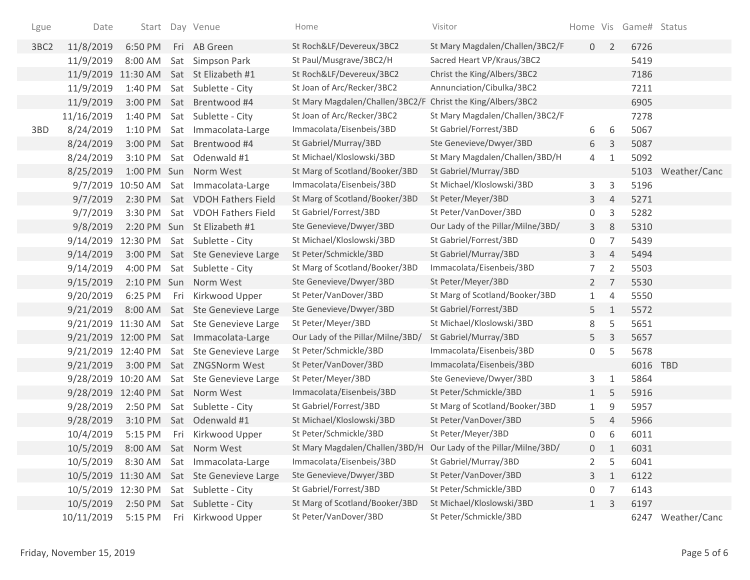| Lgue             | Date               |                   |     | Start Day Venue                            | Home                                                             | Visitor                           |                |                | Home Vis Game# Status |                   |
|------------------|--------------------|-------------------|-----|--------------------------------------------|------------------------------------------------------------------|-----------------------------------|----------------|----------------|-----------------------|-------------------|
| 3BC <sub>2</sub> | 11/8/2019          | 6:50 PM           |     | Fri AB Green                               | St Roch&LF/Devereux/3BC2                                         | St Mary Magdalen/Challen/3BC2/F   | 0              | $\overline{2}$ | 6726                  |                   |
|                  | 11/9/2019          | 8:00 AM           |     | Sat Simpson Park                           | St Paul/Musgrave/3BC2/H                                          | Sacred Heart VP/Kraus/3BC2        |                |                | 5419                  |                   |
|                  | 11/9/2019 11:30 AM |                   |     | Sat St Elizabeth #1                        | St Roch&LF/Devereux/3BC2                                         | Christ the King/Albers/3BC2       |                |                | 7186                  |                   |
|                  | 11/9/2019          | 1:40 PM           |     | Sat Sublette - City                        | St Joan of Arc/Recker/3BC2                                       | Annunciation/Cibulka/3BC2         |                |                | 7211                  |                   |
|                  | 11/9/2019          |                   |     | 3:00 PM Sat Brentwood #4                   | St Mary Magdalen/Challen/3BC2/F                                  | Christ the King/Albers/3BC2       |                |                | 6905                  |                   |
|                  | 11/16/2019         | 1:40 PM           |     | Sat Sublette - City                        | St Joan of Arc/Recker/3BC2                                       | St Mary Magdalen/Challen/3BC2/F   |                |                | 7278                  |                   |
| 3BD              | 8/24/2019          | $1:10$ PM         |     | Sat Immacolata-Large                       | Immacolata/Eisenbeis/3BD                                         | St Gabriel/Forrest/3BD            | 6              | 6              | 5067                  |                   |
|                  | 8/24/2019          |                   |     | 3:00 PM Sat Brentwood #4                   | St Gabriel/Murray/3BD                                            | Ste Genevieve/Dwyer/3BD           | 6              | 3              | 5087                  |                   |
|                  | 8/24/2019          |                   |     | 3:10 PM Sat Odenwald #1                    | St Michael/Kloslowski/3BD                                        | St Mary Magdalen/Challen/3BD/H    | 4              | 1              | 5092                  |                   |
|                  | 8/25/2019          |                   |     | 1:00 PM Sun Norm West                      | St Marg of Scotland/Booker/3BD                                   | St Gabriel/Murray/3BD             |                |                |                       | 5103 Weather/Canc |
|                  |                    | 9/7/2019 10:50 AM |     | Sat Immacolata-Large                       | Immacolata/Eisenbeis/3BD                                         | St Michael/Kloslowski/3BD         | 3              | 3              | 5196                  |                   |
|                  | 9/7/2019           |                   |     | 2:30 PM Sat VDOH Fathers Field             | St Marg of Scotland/Booker/3BD                                   | St Peter/Meyer/3BD                | 3              | $\overline{4}$ | 5271                  |                   |
|                  | 9/7/2019           | 3:30 PM           |     | Sat VDOH Fathers Field                     | St Gabriel/Forrest/3BD                                           | St Peter/VanDover/3BD             | 0              | 3              | 5282                  |                   |
|                  | 9/8/2019           |                   |     | 2:20 PM Sun St Elizabeth #1                | Ste Genevieve/Dwyer/3BD                                          | Our Lady of the Pillar/Milne/3BD/ | 3              | 8              | 5310                  |                   |
|                  |                    |                   |     | 9/14/2019 12:30 PM Sat Sublette - City     | St Michael/Kloslowski/3BD                                        | St Gabriel/Forrest/3BD            | 0              | 7              | 5439                  |                   |
|                  | 9/14/2019          |                   |     | 3:00 PM Sat Ste Genevieve Large            | St Peter/Schmickle/3BD                                           | St Gabriel/Murray/3BD             | 3              | $\overline{4}$ | 5494                  |                   |
|                  | 9/14/2019          | 4:00 PM           |     | Sat Sublette - City                        | St Marg of Scotland/Booker/3BD                                   | Immacolata/Eisenbeis/3BD          | 7              | $\overline{2}$ | 5503                  |                   |
|                  | 9/15/2019          |                   |     | 2:10 PM Sun Norm West                      | Ste Genevieve/Dwyer/3BD                                          | St Peter/Meyer/3BD                | $2^{\circ}$    | 7              | 5530                  |                   |
|                  | 9/20/2019          | 6:25 PM           |     | Fri Kirkwood Upper                         | St Peter/VanDover/3BD                                            | St Marg of Scotland/Booker/3BD    | $\mathbf{1}$   | $\overline{4}$ | 5550                  |                   |
|                  | 9/21/2019          | 8:00 AM           |     | Sat Ste Genevieve Large                    | Ste Genevieve/Dwyer/3BD                                          | St Gabriel/Forrest/3BD            | 5              | $\mathbf{1}$   | 5572                  |                   |
|                  |                    |                   |     | 9/21/2019 11:30 AM Sat Ste Genevieve Large | St Peter/Meyer/3BD                                               | St Michael/Kloslowski/3BD         | 8              | 5              | 5651                  |                   |
|                  |                    |                   |     | 9/21/2019 12:00 PM Sat Immacolata-Large    | Our Lady of the Pillar/Milne/3BD/                                | St Gabriel/Murray/3BD             | 5              | $\mathsf{3}$   | 5657                  |                   |
|                  |                    |                   |     | 9/21/2019 12:40 PM Sat Ste Genevieve Large | St Peter/Schmickle/3BD                                           | Immacolata/Eisenbeis/3BD          | 0              | 5              | 5678                  |                   |
|                  | 9/21/2019          |                   |     | 3:00 PM Sat ZNGSNorm West                  | St Peter/VanDover/3BD                                            | Immacolata/Eisenbeis/3BD          |                |                | 6016 TBD              |                   |
|                  | 9/28/2019 10:20 AM |                   |     | Sat Ste Genevieve Large                    | St Peter/Meyer/3BD                                               | Ste Genevieve/Dwyer/3BD           | 3              | 1              | 5864                  |                   |
|                  | 9/28/2019 12:40 PM |                   |     | Sat Norm West                              | Immacolata/Eisenbeis/3BD                                         | St Peter/Schmickle/3BD            | 1              | 5              | 5916                  |                   |
|                  | 9/28/2019          | 2:50 PM           |     | Sat Sublette - City                        | St Gabriel/Forrest/3BD                                           | St Marg of Scotland/Booker/3BD    | 1              | 9              | 5957                  |                   |
|                  | 9/28/2019          | 3:10 PM           |     | Sat Odenwald #1                            | St Michael/Kloslowski/3BD                                        | St Peter/VanDover/3BD             | 5              | $\overline{4}$ | 5966                  |                   |
|                  | 10/4/2019          |                   |     | 5:15 PM Fri Kirkwood Upper                 | St Peter/Schmickle/3BD                                           | St Peter/Meyer/3BD                | 0              | 6              | 6011                  |                   |
|                  | 10/5/2019          |                   |     | 8:00 AM Sat Norm West                      | St Mary Magdalen/Challen/3BD/H Our Lady of the Pillar/Milne/3BD/ |                                   | 0              | 1              | 6031                  |                   |
|                  | 10/5/2019          | 8:30 AM           |     | Sat Immacolata-Large                       | Immacolata/Eisenbeis/3BD                                         | St Gabriel/Murray/3BD             | 2              | 5              | 6041                  |                   |
|                  | 10/5/2019 11:30 AM |                   |     | Sat Ste Genevieve Large                    | Ste Genevieve/Dwyer/3BD                                          | St Peter/VanDover/3BD             | 3 <sup>1</sup> | $\mathbf{1}$   | 6122                  |                   |
|                  | 10/5/2019 12:30 PM |                   |     | Sat Sublette - City                        | St Gabriel/Forrest/3BD                                           | St Peter/Schmickle/3BD            | 0              | 7              | 6143                  |                   |
|                  | 10/5/2019          | 2:50 PM           |     | Sat Sublette - City                        | St Marg of Scotland/Booker/3BD                                   | St Michael/Kloslowski/3BD         | 1              | 3              | 6197                  |                   |
|                  | 10/11/2019         | 5:15 PM           | Fri | Kirkwood Upper                             | St Peter/VanDover/3BD                                            | St Peter/Schmickle/3BD            |                |                |                       | 6247 Weather/Canc |